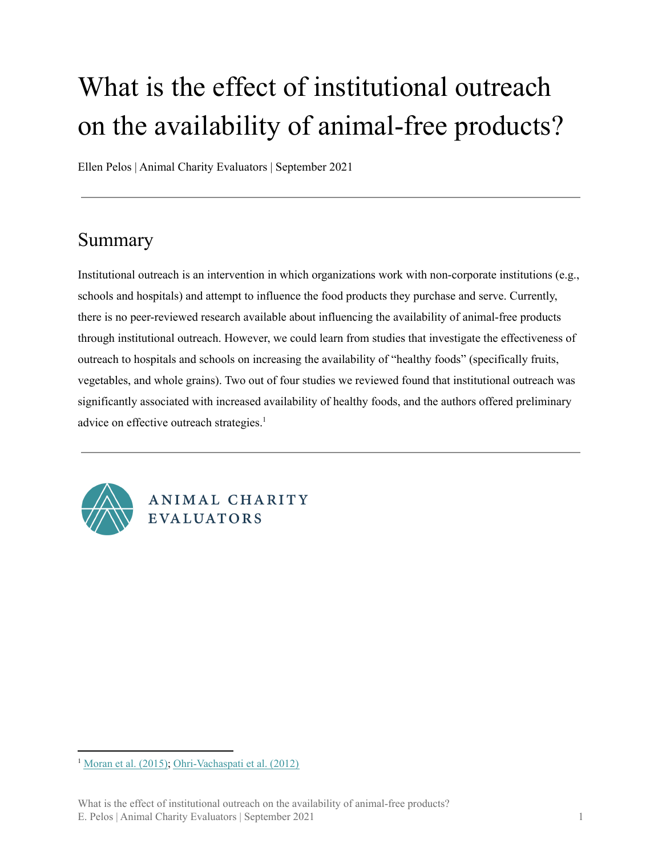# What is the effect of institutional outreach on the availability of animal-free products?

Ellen Pelos | Animal Charity Evaluators | September 2021

#### Summary

Institutional outreach is an intervention in which organizations work with non-corporate institutions (e.g., schools and hospitals) and attempt to influence the food products they purchase and serve. Currently, there is no peer-reviewed research available about influencing the availability of animal-free products through institutional outreach. However, we could learn from studies that investigate the effectiveness of outreach to hospitals and schools on increasing the availability of "healthy foods" (specifically fruits, vegetables, and whole grains). Two out of four studies we reviewed found that institutional outreach was significantly associated with increased availability of healthy foods, and the authors offered preliminary advice on effective outreach strategies. 1



ANIMAL CHARITY **EVALUATORS** 

<sup>1</sup> [Moran](https://jandonline.org/article/S2212-2672(15)01226-5/fulltext) et al. (2015); [Ohri-Vachaspati](https://pubmed.ncbi.nlm.nih.gov/22709817/) et al. (2012)

What is the effect of institutional outreach on the availability of animal-free products? E. Pelos | Animal Charity Evaluators | September 2021 1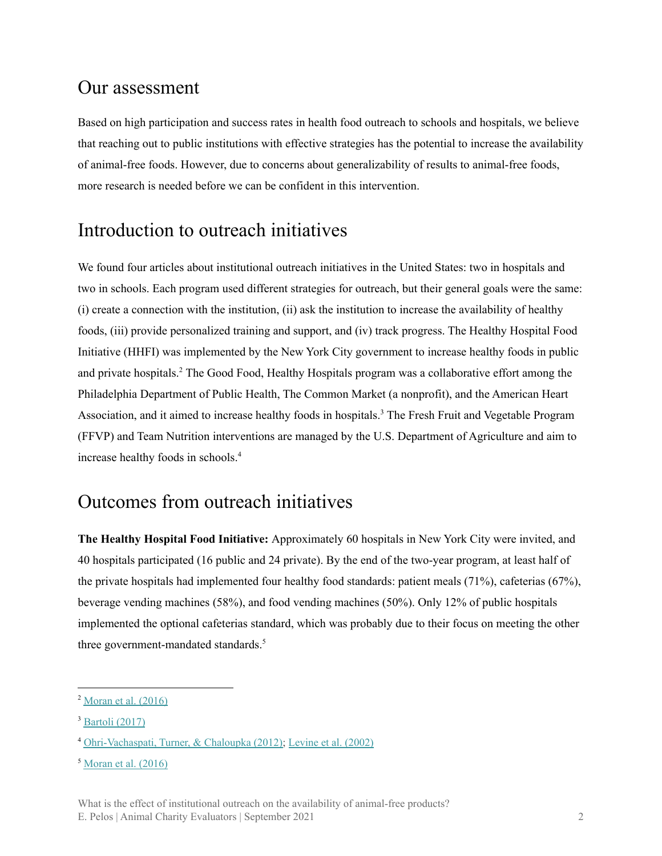#### Our assessment

Based on high participation and success rates in health food outreach to schools and hospitals, we believe that reaching out to public institutions with effective strategies has the potential to increase the availability of animal-free foods. However, due to concerns about generalizability of results to animal-free foods, more research is needed before we can be confident in this intervention.

### Introduction to outreach initiatives

We found four articles about institutional outreach initiatives in the United States: two in hospitals and two in schools. Each program used different strategies for outreach, but their general goals were the same: (i) create a connection with the institution, (ii) ask the institution to increase the availability of healthy foods, (iii) provide personalized training and support, and (iv) track progress. The Healthy Hospital Food Initiative (HHFI) was implemented by the New York City government to increase healthy foods in public and private hospitals.<sup>2</sup> The Good Food, Healthy Hospitals program was a collaborative effort among the Philadelphia Department of Public Health, The Common Market (a nonprofit), and the American Heart Association, and it aimed to increase healthy foods in hospitals.<sup>3</sup> The Fresh Fruit and Vegetable Program (FFVP) and Team Nutrition interventions are managed by the U.S. Department of Agriculture and aim to increase healthy foods in schools. 4

## Outcomes from outreach initiatives

**The Healthy Hospital Food Initiative:** Approximately 60 hospitals in New York City were invited, and 40 hospitals participated (16 public and 24 private). By the end of the two-year program, at least half of the private hospitals had implemented four healthy food standards: patient meals (71%), cafeterias (67%), beverage vending machines (58%), and food vending machines (50%). Only 12% of public hospitals implemented the optional cafeterias standard, which was probably due to their focus on meeting the other three government-mandated standards. 5

<sup>&</sup>lt;sup>2</sup> [Moran](https://stacks.cdc.gov/view/cdc/40162) et al. (2016)

 $3$  [Bartoli](https://www.cdc.gov/nccdphp/dnpao/state-local-programs/pdf/philadelphia-hospitals-offer-healthier-options.pdf) (2017)

<sup>4</sup> [Ohri-Vachaspati,](https://pubmed.ncbi.nlm.nih.gov/22709817/) Turner, & Chaloupka (2012); [Levine](https://www.sciencedirect.com/science/article/abs/pii/S1499404606600766) et al. (2002)

 $<sup>5</sup>$  [Moran](https://stacks.cdc.gov/view/cdc/40162) et al. (2016)</sup>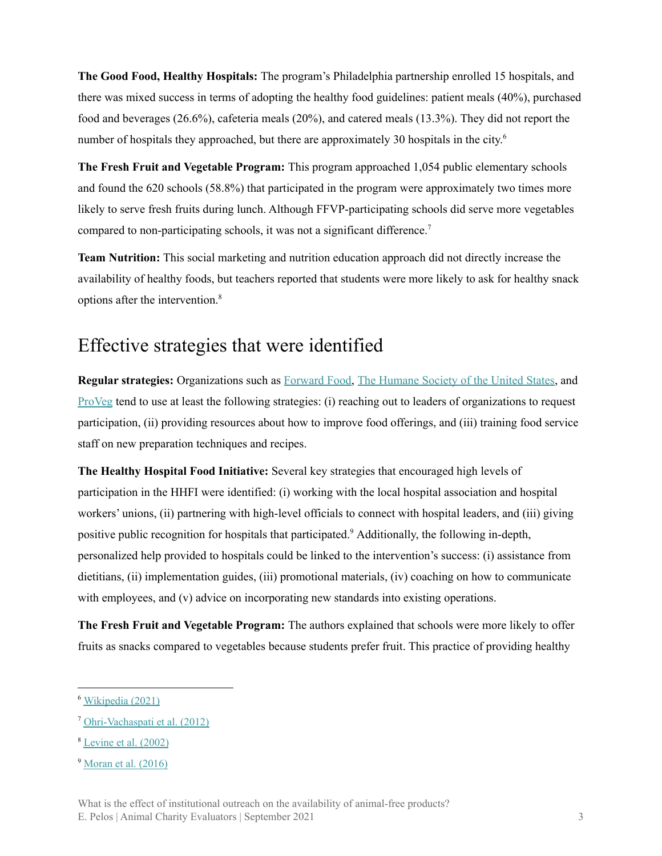**The Good Food, Healthy Hospitals:** The program's Philadelphia partnership enrolled 15 hospitals, and there was mixed success in terms of adopting the healthy food guidelines: patient meals (40%), purchased food and beverages (26.6%), cafeteria meals (20%), and catered meals (13.3%). They did not report the number of hospitals they approached, but there are approximately 30 hospitals in the city.<sup>6</sup>

**The Fresh Fruit and Vegetable Program:** This program approached 1,054 public elementary schools and found the 620 schools (58.8%) that participated in the program were approximately two times more likely to serve fresh fruits during lunch. Although FFVP-participating schools did serve more vegetables compared to non-participating schools, it was not a significant difference. 7

**Team Nutrition:** This social marketing and nutrition education approach did not directly increase the availability of healthy foods, but teachers reported that students were more likely to ask for healthy snack options after the intervention. 8

#### Effective strategies that were identified

**Regular strategies:** Organizations such as [Forward](http://www.forwardfood.org/about-us/) Food, The [Humane](https://www.humanesociety.org/) Society of the United States, and [ProVeg](https://proveg.com/about/) tend to use at least the following strategies: (i) reaching out to leaders of organizations to request participation, (ii) providing resources about how to improve food offerings, and (iii) training food service staff on new preparation techniques and recipes.

**The Healthy Hospital Food Initiative:** Several key strategies that encouraged high levels of participation in the HHFI were identified: (i) working with the local hospital association and hospital workers' unions, (ii) partnering with high-level officials to connect with hospital leaders, and (iii) giving positive public recognition for hospitals that participated.<sup>9</sup> Additionally, the following in-depth, personalized help provided to hospitals could be linked to the intervention's success: (i) assistance from dietitians, (ii) implementation guides, (iii) promotional materials, (iv) coaching on how to communicate with employees, and (v) advice on incorporating new standards into existing operations.

**The Fresh Fruit and Vegetable Program:** The authors explained that schools were more likely to offer fruits as snacks compared to vegetables because students prefer fruit. This practice of providing healthy

<sup>6</sup> [Wikipedia](https://en.wikipedia.org/wiki/List_of_hospitals_in_Pennsylvania) (2021)

<sup>7</sup> [Ohri-Vachaspati](https://pubmed.ncbi.nlm.nih.gov/22709817/) et al. (2012)

 $8$  [Levine](https://www.sciencedirect.com/science/article/abs/pii/S1499404606600766) et al.  $(2002)$ 

<sup>9</sup> [Moran](https://stacks.cdc.gov/view/cdc/40162) et al. (2016)

What is the effect of institutional outreach on the availability of animal-free products? E. Pelos | Animal Charity Evaluators | September 2021 3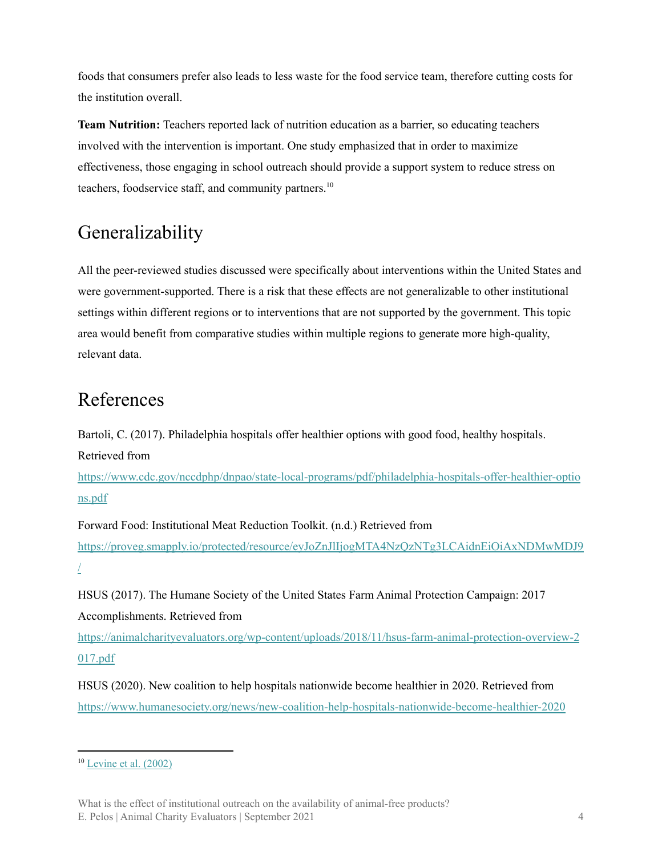foods that consumers prefer also leads to less waste for the food service team, therefore cutting costs for the institution overall.

**Team Nutrition:** Teachers reported lack of nutrition education as a barrier, so educating teachers involved with the intervention is important. One study emphasized that in order to maximize effectiveness, those engaging in school outreach should provide a support system to reduce stress on teachers, foodservice staff, and community partners. 10

# Generalizability

All the peer-reviewed studies discussed were specifically about interventions within the United States and were government-supported. There is a risk that these effects are not generalizable to other institutional settings within different regions or to interventions that are not supported by the government. This topic area would benefit from comparative studies within multiple regions to generate more high-quality, relevant data.

# References

Bartoli, C. (2017). Philadelphia hospitals offer healthier options with good food, healthy hospitals.

Retrieved from

[https://www.cdc.gov/nccdphp/dnpao/state-local-programs/pdf/philadelphia-hospitals-offer-healthier-optio](https://www.cdc.gov/nccdphp/dnpao/state-local-programs/pdf/philadelphia-hospitals-offer-healthier-options.pdf) [ns.pdf](https://www.cdc.gov/nccdphp/dnpao/state-local-programs/pdf/philadelphia-hospitals-offer-healthier-options.pdf)

Forward Food: Institutional Meat Reduction Toolkit. (n.d.) Retrieved from [https://proveg.smapply.io/protected/resource/eyJoZnJlIjogMTA4NzQzNTg3LCAidnEiOiAxNDMwMDJ9](https://proveg.smapply.io/protected/resource/eyJoZnJlIjogMTA4NzQzNTg3LCAidnEiOiAxNDMwMDJ9/) [/](https://proveg.smapply.io/protected/resource/eyJoZnJlIjogMTA4NzQzNTg3LCAidnEiOiAxNDMwMDJ9/)

HSUS (2017). The Humane Society of the United States Farm Animal Protection Campaign: 2017 Accomplishments. Retrieved from

[https://animalcharityevaluators.org/wp-content/uploads/2018/11/hsus-farm-animal-protection-overview-2](https://animalcharityevaluators.org/wp-content/uploads/2018/11/hsus-farm-animal-protection-overview-2017.pdf) [017.pdf](https://animalcharityevaluators.org/wp-content/uploads/2018/11/hsus-farm-animal-protection-overview-2017.pdf)

HSUS (2020). New coalition to help hospitals nationwide become healthier in 2020. Retrieved from <https://www.humanesociety.org/news/new-coalition-help-hospitals-nationwide-become-healthier-2020>

 $10$  [Levine](https://www.sciencedirect.com/science/article/abs/pii/S1499404606600766) et al. (2002)

What is the effect of institutional outreach on the availability of animal-free products? E. Pelos | Animal Charity Evaluators | September 2021 4